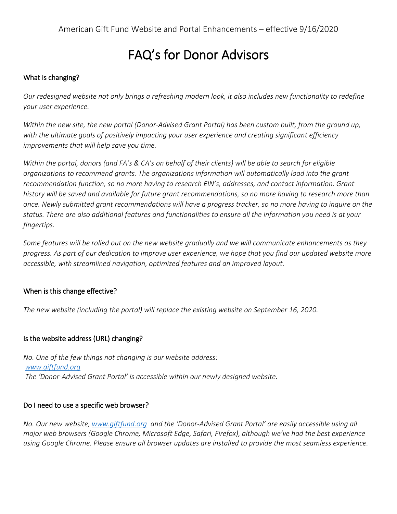# FAQ's for Donor Advisors

## What is changing?

Our redesigned website not only brings a refreshing modern look, it also includes new functionality to redefine *your user experience.*

Within the new site, the new portal (Donor-Advised Grant Portal) has been custom built, from the ground up, *with the ultimate goals of positively impacting your user experience and creating significant efficiency improvements that will help save you time.*

Within the portal, donors (and FA's & CA's on behalf of their clients) will be able to search for eligible *organizations to recommend grants. The organizations information will automatically load into the grant recommendation function, so no more having to research EIN's, addresses, and contact information. Grant* history will be saved and available for future grant recommendations, so no more having to research more than once. Newly submitted grant recommendations will have a progress tracker, so no more having to inquire on the status. There are also additional features and functionalities to ensure all the information you need is at your *fingertips.*

Some features will be rolled out on the new website gradually and we will communicate enhancements as they progress. As part of our dedication to improve user experience, we hope that you find our updated website more *accessible, with streamlined navigation, optimized features and an improved layout.*

## When is this change effective?

*The new website (including the portal) will replace the existing website on September 16, 2020.*

## Is the website address (URL) changing?

*No. One of the few things not changing is our website address: [www.giftfund.org](http://www.giftfund.org/) The 'Donor-Advised Grant Portal' is accessible within our newly designed website.*

## Do I need to use a specific web browser?

*No. Our new website, [www.giftfund.org](http://www.giftfund.org/) and the 'Donor-Advised Grant Portal' are easily accessible using all major web browsers (Google Chrome, Microsoft Edge, Safari, Firefox), although we've had the best experience using Google Chrome. Please ensure all browser updates are installed to provide the most seamless experience.*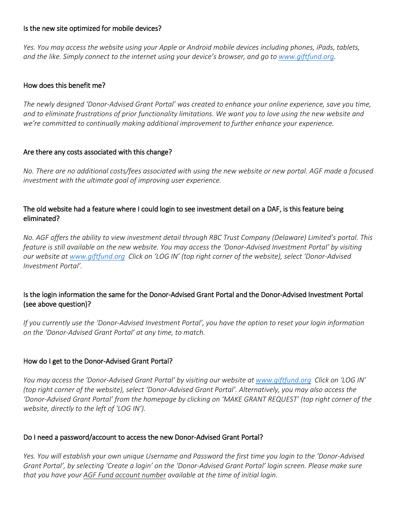#### Is the new site optimized for mobile devices?

Yes. You may access the website using your Apple or Android mobile devices including phones, iPads, tablets, *and the like. Simply connect to the internet using your device's browser, and go to [www.giftfund.org.](http://www.giftfund.org/)*

#### How does this benefit me?

The newly designed 'Donor-Advised Grant Portal' was created to enhance your online experience, save you time, and to eliminate frustrations of prior functionality limitations. We want you to love using the new website and *we're committed to continually making additional improvement to further enhance your experience.*

#### Are there any costs associated with this change?

No. There are no additional costs/fees associated with using the new website or new portal. AGF made a focused *investment with the ultimate goal of improving user experience.*

## The old website had a feature where I could login to see investment detail on a DAF, is this feature being eliminated?

No. AGF offers the ability to view investment detail through RBC Trust Company (Delaware) Limited's portal. This feature is still available on the new website. You may access the 'Donor-Advised Investment Portal' by visiting our website at [www.giftfund.org](http://www.giftfund.org/) Click on 'LOG IN' (top right corner of the website), select 'Donor-Advised *Investment Portal'.*

## Is the login information the same for the Donor-Advised Grant Portal and the Donor-Advised Investment Portal (see above question)?

If you currently use the 'Donor-Advised Investment Portal', you have the option to reset your login information *on the 'Donor-Advised Grant Portal' at any time, to match.*

## How do I get to the Donor-Advised Grant Portal?

You may access the 'Donor-Advised Grant Portal' by visiting our website at [www.giftfund.org](http://www.giftfund.org/) Click on 'LOG IN' (top right corner of the website), select 'Donor-Advised Grant Portal'. Alternatively, you may also access the 'Donor-Advised Grant Portal' from the homepage by clicking on 'MAKE GRANT REQUEST' (top right corner of the *website, directly to the left of 'LOG IN').*

## Do I need a password/account to access the new Donor-Advised Grant Portal?

Yes. You will establish your own unique Username and Password the first time you login to the 'Donor-Advised Grant Portal', by selecting 'Create a login' on the 'Donor-Advised Grant Portal' login screen. Please make sure *that you have your AGF Fund account number available at the time of initial login.*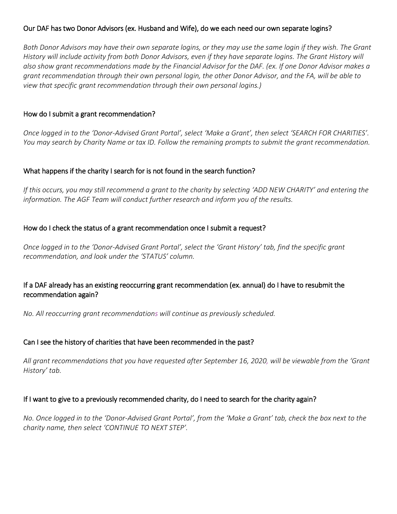## Our DAF has two Donor Advisors (ex. Husband and Wife), do we each need our own separate logins?

Both Donor Advisors may have their own separate logins, or they may use the same login if they wish. The Grant History will include activity from both Donor Advisors, even if they have separate logins. The Grant History will also show grant recommendations made by the Financial Advisor for the DAF. (ex. If one Donor Advisor makes a grant recommendation through their own personal login, the other Donor Advisor, and the FA, will be able to *view that specific grant recommendation through their own personal logins.)*

## How do I submit a grant recommendation?

Once logged in to the 'Donor-Advised Grant Portal', select 'Make a Grant', then select 'SEARCH FOR CHARITIES'. You may search by Charity Name or tax ID. Follow the remaining prompts to submit the grant recommendation.

## What happens if the charity I search for is not found in the search function?

If this occurs, you may still recommend a grant to the charity by selecting 'ADD NEW CHARITY' and entering the *information. The AGF Team will conduct further research and inform you of the results.*

#### How do I check the status of a grant recommendation once I submit a request?

Once logged in to the 'Donor-Advised Grant Portal', select the 'Grant History' tab, find the specific grant *recommendation, and look under the 'STATUS' column.*

## If a DAF already has an existing reoccurring grant recommendation (ex. annual) do I have to resubmit the recommendation again?

*No. All reoccurring grant recommendations will continue as previously scheduled.*

## Can I see the history of charities that have been recommended in the past?

All grant recommendations that you have requested after September 16, 2020, will be viewable from the 'Grant *History' tab.*

## If I want to give to a previously recommended charity, do I need to search for the charity again?

No. Once logged in to the 'Donor-Advised Grant Portal', from the 'Make a Grant' tab, check the box next to the *charity name, then select 'CONTINUE TO NEXT STEP'.*